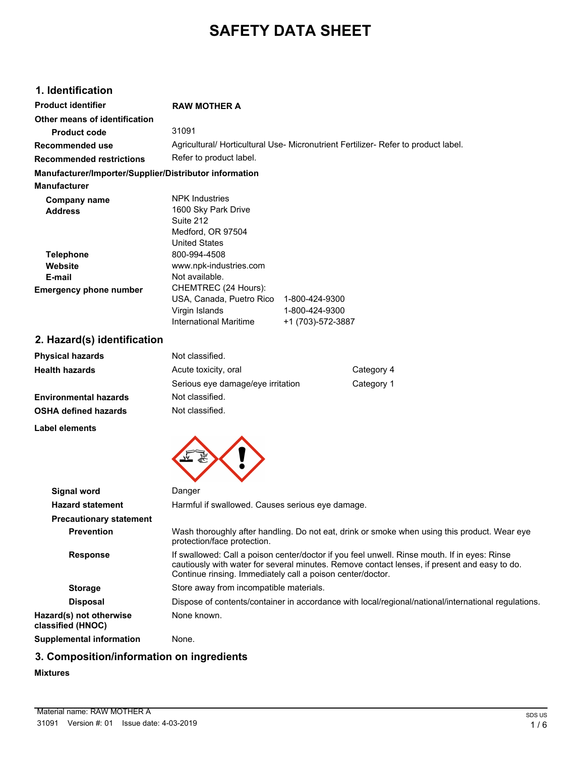# **SAFETY DATA SHEET**

# **1. Identification**

| <b>Product identifier</b>                              | <b>RAW MOTHER A</b>                                                                                                                                                                                                                                        |                                                       |            |
|--------------------------------------------------------|------------------------------------------------------------------------------------------------------------------------------------------------------------------------------------------------------------------------------------------------------------|-------------------------------------------------------|------------|
| Other means of identification                          |                                                                                                                                                                                                                                                            |                                                       |            |
| <b>Product code</b>                                    | 31091                                                                                                                                                                                                                                                      |                                                       |            |
| <b>Recommended use</b>                                 | Agricultural/ Horticultural Use- Micronutrient Fertilizer- Refer to product label.                                                                                                                                                                         |                                                       |            |
| <b>Recommended restrictions</b>                        | Refer to product label.                                                                                                                                                                                                                                    |                                                       |            |
| Manufacturer/Importer/Supplier/Distributor information |                                                                                                                                                                                                                                                            |                                                       |            |
| <b>Manufacturer</b>                                    |                                                                                                                                                                                                                                                            |                                                       |            |
| <b>Company name</b><br><b>Address</b>                  | <b>NPK Industries</b><br>1600 Sky Park Drive<br>Suite 212<br>Medford, OR 97504<br>United States                                                                                                                                                            |                                                       |            |
| <b>Telephone</b><br>Website                            | 800-994-4508<br>www.npk-industries.com                                                                                                                                                                                                                     |                                                       |            |
| E-mail<br><b>Emergency phone number</b>                | Not available.<br>CHEMTREC (24 Hours):<br>USA, Canada, Puetro Rico<br>Virgin Islands<br><b>International Maritime</b>                                                                                                                                      | 1-800-424-9300<br>1-800-424-9300<br>+1 (703)-572-3887 |            |
| 2. Hazard(s) identification                            |                                                                                                                                                                                                                                                            |                                                       |            |
| <b>Physical hazards</b>                                | Not classified.                                                                                                                                                                                                                                            |                                                       |            |
| <b>Health hazards</b>                                  | Acute toxicity, oral                                                                                                                                                                                                                                       |                                                       | Category 4 |
|                                                        | Serious eye damage/eye irritation                                                                                                                                                                                                                          |                                                       | Category 1 |
| <b>Environmental hazards</b>                           | Not classified.                                                                                                                                                                                                                                            |                                                       |            |
| <b>OSHA defined hazards</b>                            | Not classified.                                                                                                                                                                                                                                            |                                                       |            |
| Label elements                                         |                                                                                                                                                                                                                                                            |                                                       |            |
|                                                        |                                                                                                                                                                                                                                                            |                                                       |            |
| <b>Signal word</b>                                     | Danger                                                                                                                                                                                                                                                     |                                                       |            |
| <b>Hazard statement</b>                                | Harmful if swallowed. Causes serious eye damage.                                                                                                                                                                                                           |                                                       |            |
| <b>Precautionary statement</b>                         |                                                                                                                                                                                                                                                            |                                                       |            |
| <b>Prevention</b>                                      | Wash thoroughly after handling. Do not eat, drink or smoke when using this product. Wear eye<br>protection/face protection.                                                                                                                                |                                                       |            |
| <b>Response</b>                                        | If swallowed: Call a poison center/doctor if you feel unwell. Rinse mouth. If in eyes: Rinse<br>cautiously with water for several minutes. Remove contact lenses, if present and easy to do.<br>Continue rinsing. Immediately call a poison center/doctor. |                                                       |            |
| <b>Storage</b>                                         | Store away from incompatible materials.                                                                                                                                                                                                                    |                                                       |            |
| <b>Disposal</b>                                        | Dispose of contents/container in accordance with local/regional/national/international regulations.                                                                                                                                                        |                                                       |            |
| Hazard(s) not otherwise<br>classified (HNOC)           | None known.                                                                                                                                                                                                                                                |                                                       |            |
| <b>Supplemental information</b>                        | None.                                                                                                                                                                                                                                                      |                                                       |            |

# **3. Composition/information on ingredients**

### **Mixtures**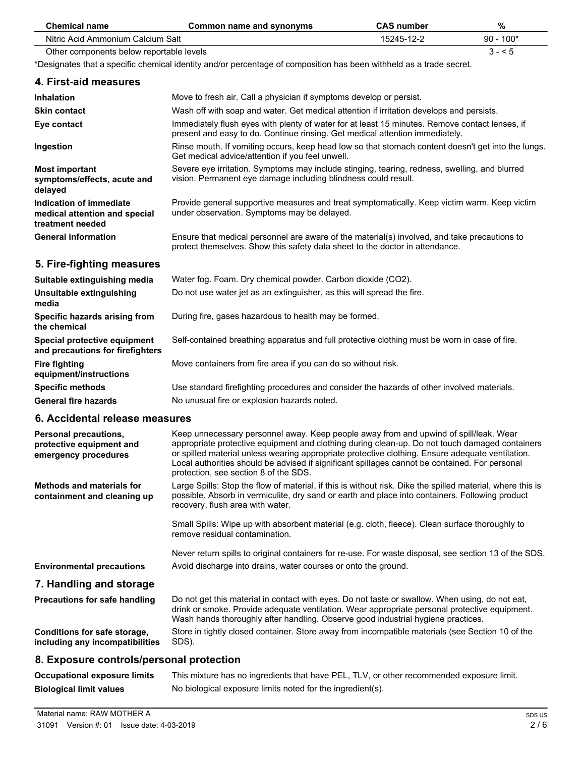| <b>Chemical name</b>                                                         | <b>Common name and synonyms</b>                                                                                                                                                                                                                                                                                                                                                                                                        | <b>CAS number</b> | $\%$        |
|------------------------------------------------------------------------------|----------------------------------------------------------------------------------------------------------------------------------------------------------------------------------------------------------------------------------------------------------------------------------------------------------------------------------------------------------------------------------------------------------------------------------------|-------------------|-------------|
| Nitric Acid Ammonium Calcium Salt                                            |                                                                                                                                                                                                                                                                                                                                                                                                                                        | 15245-12-2        | $90 - 100*$ |
| Other components below reportable levels                                     |                                                                                                                                                                                                                                                                                                                                                                                                                                        |                   | $3 - 5$     |
|                                                                              | *Designates that a specific chemical identity and/or percentage of composition has been withheld as a trade secret.                                                                                                                                                                                                                                                                                                                    |                   |             |
| 4. First-aid measures                                                        |                                                                                                                                                                                                                                                                                                                                                                                                                                        |                   |             |
| Inhalation                                                                   | Move to fresh air. Call a physician if symptoms develop or persist.                                                                                                                                                                                                                                                                                                                                                                    |                   |             |
| <b>Skin contact</b>                                                          | Wash off with soap and water. Get medical attention if irritation develops and persists.                                                                                                                                                                                                                                                                                                                                               |                   |             |
| Eye contact                                                                  | Immediately flush eyes with plenty of water for at least 15 minutes. Remove contact lenses, if<br>present and easy to do. Continue rinsing. Get medical attention immediately.                                                                                                                                                                                                                                                         |                   |             |
| Ingestion                                                                    | Rinse mouth. If vomiting occurs, keep head low so that stomach content doesn't get into the lungs.<br>Get medical advice/attention if you feel unwell.                                                                                                                                                                                                                                                                                 |                   |             |
| <b>Most important</b><br>symptoms/effects, acute and<br>delayed              | Severe eye irritation. Symptoms may include stinging, tearing, redness, swelling, and blurred<br>vision. Permanent eye damage including blindness could result.                                                                                                                                                                                                                                                                        |                   |             |
| Indication of immediate<br>medical attention and special<br>treatment needed | Provide general supportive measures and treat symptomatically. Keep victim warm. Keep victim<br>under observation. Symptoms may be delayed.                                                                                                                                                                                                                                                                                            |                   |             |
| <b>General information</b>                                                   | Ensure that medical personnel are aware of the material(s) involved, and take precautions to<br>protect themselves. Show this safety data sheet to the doctor in attendance.                                                                                                                                                                                                                                                           |                   |             |
| 5. Fire-fighting measures                                                    |                                                                                                                                                                                                                                                                                                                                                                                                                                        |                   |             |
| Suitable extinguishing media                                                 | Water fog. Foam. Dry chemical powder. Carbon dioxide (CO2).                                                                                                                                                                                                                                                                                                                                                                            |                   |             |
| Unsuitable extinguishing<br>media                                            | Do not use water jet as an extinguisher, as this will spread the fire.                                                                                                                                                                                                                                                                                                                                                                 |                   |             |
| Specific hazards arising from<br>the chemical                                | During fire, gases hazardous to health may be formed.                                                                                                                                                                                                                                                                                                                                                                                  |                   |             |
| Special protective equipment<br>and precautions for firefighters             | Self-contained breathing apparatus and full protective clothing must be worn in case of fire.                                                                                                                                                                                                                                                                                                                                          |                   |             |
| <b>Fire fighting</b><br>equipment/instructions                               | Move containers from fire area if you can do so without risk.                                                                                                                                                                                                                                                                                                                                                                          |                   |             |
| <b>Specific methods</b>                                                      | Use standard firefighting procedures and consider the hazards of other involved materials.                                                                                                                                                                                                                                                                                                                                             |                   |             |
| <b>General fire hazards</b>                                                  | No unusual fire or explosion hazards noted.                                                                                                                                                                                                                                                                                                                                                                                            |                   |             |
| 6. Accidental release measures                                               |                                                                                                                                                                                                                                                                                                                                                                                                                                        |                   |             |
| Personal precautions,<br>protective equipment and<br>emergency procedures    | Keep unnecessary personnel away. Keep people away from and upwind of spill/leak. Wear<br>appropriate protective equipment and clothing during clean-up. Do not touch damaged containers<br>or spilled material unless wearing appropriate protective clothing. Ensure adequate ventilation.<br>Local authorities should be advised if significant spillages cannot be contained. For personal<br>protection, see section 8 of the SDS. |                   |             |
| <b>Methods and materials for</b><br>containment and cleaning up              | Large Spills: Stop the flow of material, if this is without risk. Dike the spilled material, where this is<br>possible. Absorb in vermiculite, dry sand or earth and place into containers. Following product<br>recovery, flush area with water.                                                                                                                                                                                      |                   |             |
|                                                                              | Small Spills: Wipe up with absorbent material (e.g. cloth, fleece). Clean surface thoroughly to<br>remove residual contamination.                                                                                                                                                                                                                                                                                                      |                   |             |
|                                                                              | Never return spills to original containers for re-use. For waste disposal, see section 13 of the SDS.                                                                                                                                                                                                                                                                                                                                  |                   |             |
| <b>Environmental precautions</b>                                             | Avoid discharge into drains, water courses or onto the ground.                                                                                                                                                                                                                                                                                                                                                                         |                   |             |
| 7. Handling and storage                                                      |                                                                                                                                                                                                                                                                                                                                                                                                                                        |                   |             |
| Precautions for safe handling                                                | Do not get this material in contact with eyes. Do not taste or swallow. When using, do not eat,<br>drink or smoke. Provide adequate ventilation. Wear appropriate personal protective equipment.<br>Wash hands thoroughly after handling. Observe good industrial hygiene practices.                                                                                                                                                   |                   |             |
| Conditions for safe storage,<br>including any incompatibilities              | Store in tightly closed container. Store away from incompatible materials (see Section 10 of the<br>SDS).                                                                                                                                                                                                                                                                                                                              |                   |             |
| 8. Exposure controls/personal protection                                     |                                                                                                                                                                                                                                                                                                                                                                                                                                        |                   |             |
| <b>Occupational exposure limits</b>                                          | This mixture has no ingredients that have PEL, TLV, or other recommended exposure limit.                                                                                                                                                                                                                                                                                                                                               |                   |             |

**Biological limit values** No biological exposure limits noted for the ingredient(s).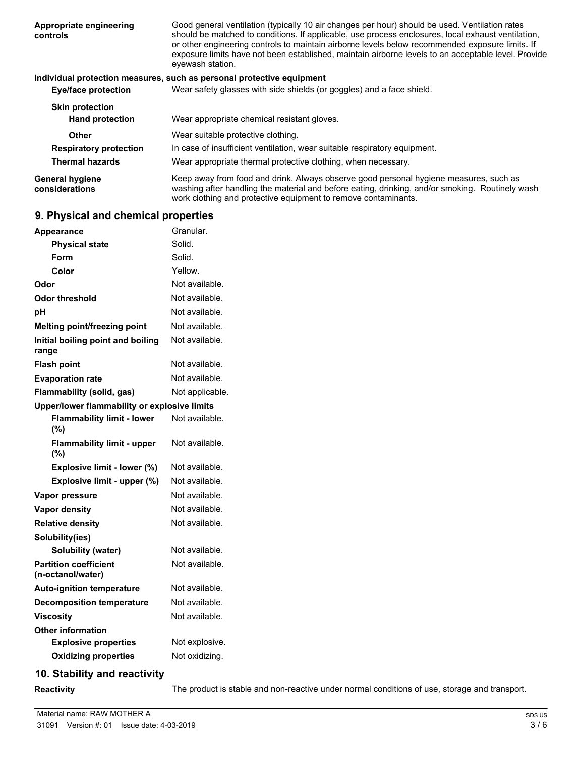| Appropriate engineering<br>controls      | Good general ventilation (typically 10 air changes per hour) should be used. Ventilation rates<br>should be matched to conditions. If applicable, use process enclosures, local exhaust ventilation,<br>or other engineering controls to maintain airborne levels below recommended exposure limits. If<br>exposure limits have not been established, maintain airborne levels to an acceptable level. Provide<br>eyewash station. |
|------------------------------------------|------------------------------------------------------------------------------------------------------------------------------------------------------------------------------------------------------------------------------------------------------------------------------------------------------------------------------------------------------------------------------------------------------------------------------------|
|                                          | Individual protection measures, such as personal protective equipment                                                                                                                                                                                                                                                                                                                                                              |
| Eye/face protection                      | Wear safety glasses with side shields (or goggles) and a face shield.                                                                                                                                                                                                                                                                                                                                                              |
| <b>Skin protection</b>                   |                                                                                                                                                                                                                                                                                                                                                                                                                                    |
| <b>Hand protection</b>                   | Wear appropriate chemical resistant gloves.                                                                                                                                                                                                                                                                                                                                                                                        |
| Other                                    | Wear suitable protective clothing.                                                                                                                                                                                                                                                                                                                                                                                                 |
| <b>Respiratory protection</b>            | In case of insufficient ventilation, wear suitable respiratory equipment.                                                                                                                                                                                                                                                                                                                                                          |
| <b>Thermal hazards</b>                   | Wear appropriate thermal protective clothing, when necessary.                                                                                                                                                                                                                                                                                                                                                                      |
| <b>General hygiene</b><br>considerations | Keep away from food and drink. Always observe good personal hygiene measures, such as<br>washing after handling the material and before eating, drinking, and/or smoking. Routinely wash<br>work clothing and protective equipment to remove contaminants.                                                                                                                                                                         |

# **9. Physical and chemical properties**

| Appearance                                        | Granular.       |
|---------------------------------------------------|-----------------|
| <b>Physical state</b>                             | Solid.          |
| Form                                              | Solid.          |
| Color                                             | Yellow.         |
| Odor                                              | Not available.  |
| <b>Odor threshold</b>                             | Not available.  |
| pH                                                | Not available.  |
| Melting point/freezing point                      | Not available.  |
| Initial boiling point and boiling<br>range        | Not available.  |
| <b>Flash point</b>                                | Not available.  |
| <b>Evaporation rate</b>                           | Not available.  |
| Flammability (solid, gas)                         | Not applicable. |
| Upper/lower flammability or explosive limits      |                 |
| <b>Flammability limit - lower</b><br>(%)          | Not available.  |
| <b>Flammability limit - upper</b><br>(%)          | Not available.  |
| Explosive limit - lower (%)                       | Not available.  |
| Explosive limit - upper (%)                       | Not available.  |
| Vapor pressure                                    | Not available.  |
| <b>Vapor density</b>                              | Not available.  |
| <b>Relative density</b>                           | Not available.  |
| Solubility(ies)                                   |                 |
| Solubility (water)                                | Not available.  |
| <b>Partition coefficient</b><br>(n-octanol/water) | Not available.  |
| <b>Auto-ignition temperature</b>                  | Not available.  |
| <b>Decomposition temperature</b>                  | Not available.  |
| <b>Viscosity</b>                                  | Not available.  |
| <b>Other information</b>                          |                 |
| <b>Explosive properties</b>                       | Not explosive.  |
| <b>Oxidizing properties</b>                       | Not oxidizing.  |
|                                                   |                 |

# **10. Stability and reactivity**

**Reactivity** The product is stable and non-reactive under normal conditions of use, storage and transport.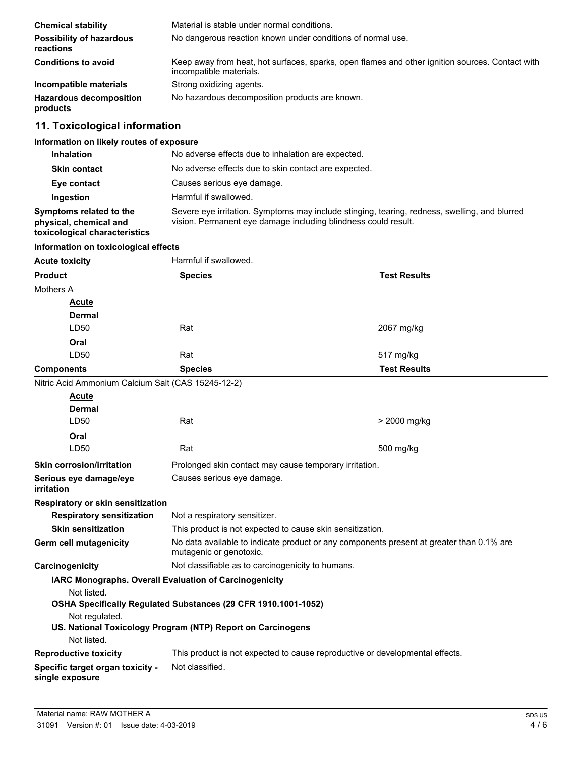| <b>Chemical stability</b>                    | Material is stable under normal conditions.                                                                                |
|----------------------------------------------|----------------------------------------------------------------------------------------------------------------------------|
| <b>Possibility of hazardous</b><br>reactions | No dangerous reaction known under conditions of normal use.                                                                |
| <b>Conditions to avoid</b>                   | Keep away from heat, hot surfaces, sparks, open flames and other ignition sources. Contact with<br>incompatible materials. |
| Incompatible materials                       | Strong oxidizing agents.                                                                                                   |
| <b>Hazardous decomposition</b><br>products   | No hazardous decomposition products are known.                                                                             |

# **11. Toxicological information**

# **Information on likely routes of exposure**

| <b>Inhalation</b>                                                                  | No adverse effects due to inhalation are expected.                                                                                                              |
|------------------------------------------------------------------------------------|-----------------------------------------------------------------------------------------------------------------------------------------------------------------|
| <b>Skin contact</b>                                                                | No adverse effects due to skin contact are expected.                                                                                                            |
| Eye contact                                                                        | Causes serious eye damage.                                                                                                                                      |
| Ingestion                                                                          | Harmful if swallowed.                                                                                                                                           |
| Symptoms related to the<br>physical, chemical and<br>toxicological characteristics | Severe eye irritation. Symptoms may include stinging, tearing, redness, swelling, and blurred<br>vision. Permanent eye damage including blindness could result. |

## **Information on toxicological effects**

| <b>Acute toxicity</b>                               | Harmful if swallowed.                                                                                               |                     |
|-----------------------------------------------------|---------------------------------------------------------------------------------------------------------------------|---------------------|
| <b>Product</b>                                      | <b>Species</b>                                                                                                      | <b>Test Results</b> |
| Mothers A                                           |                                                                                                                     |                     |
| <b>Acute</b>                                        |                                                                                                                     |                     |
| <b>Dermal</b>                                       |                                                                                                                     |                     |
| LD50                                                | Rat                                                                                                                 | 2067 mg/kg          |
| Oral                                                |                                                                                                                     |                     |
| LD50                                                | Rat                                                                                                                 | 517 mg/kg           |
| <b>Components</b>                                   | <b>Species</b>                                                                                                      | <b>Test Results</b> |
| Nitric Acid Ammonium Calcium Salt (CAS 15245-12-2)  |                                                                                                                     |                     |
| <b>Acute</b>                                        |                                                                                                                     |                     |
| Dermal                                              |                                                                                                                     |                     |
| LD50                                                | Rat                                                                                                                 | > 2000 mg/kg        |
| Oral                                                |                                                                                                                     |                     |
| LD50                                                | Rat                                                                                                                 | 500 mg/kg           |
| <b>Skin corrosion/irritation</b>                    | Prolonged skin contact may cause temporary irritation.                                                              |                     |
| Serious eye damage/eye<br><i>irritation</i>         | Causes serious eye damage.                                                                                          |                     |
| Respiratory or skin sensitization                   |                                                                                                                     |                     |
| <b>Respiratory sensitization</b>                    | Not a respiratory sensitizer.                                                                                       |                     |
| <b>Skin sensitization</b>                           | This product is not expected to cause skin sensitization.                                                           |                     |
| Germ cell mutagenicity                              | No data available to indicate product or any components present at greater than 0.1% are<br>mutagenic or genotoxic. |                     |
| Carcinogenicity                                     | Not classifiable as to carcinogenicity to humans.                                                                   |                     |
|                                                     | IARC Monographs. Overall Evaluation of Carcinogenicity                                                              |                     |
| Not listed.                                         | OSHA Specifically Regulated Substances (29 CFR 1910.1001-1052)                                                      |                     |
| Not regulated.                                      | US. National Toxicology Program (NTP) Report on Carcinogens                                                         |                     |
| Not listed.                                         |                                                                                                                     |                     |
| <b>Reproductive toxicity</b>                        | This product is not expected to cause reproductive or developmental effects.                                        |                     |
| Specific target organ toxicity -<br>single exposure | Not classified.                                                                                                     |                     |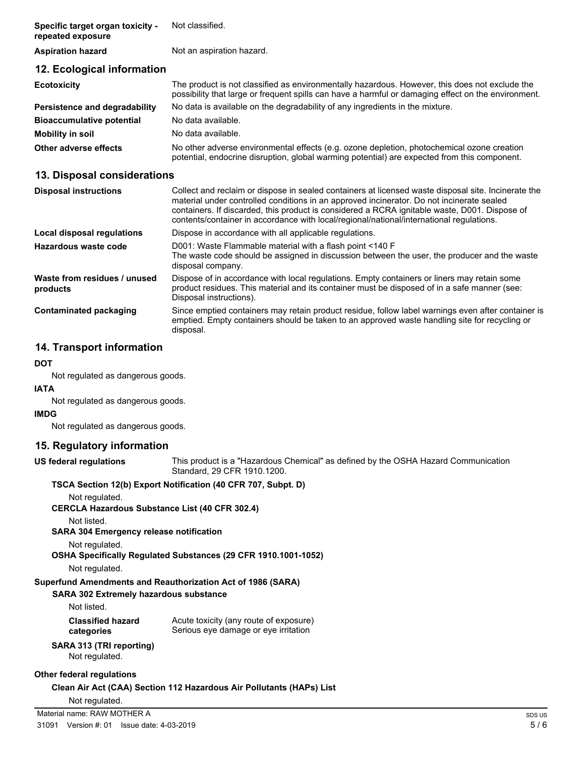| Specific target organ toxicity -<br>repeated exposure | Not classified.                                                                                                                                                                                       |
|-------------------------------------------------------|-------------------------------------------------------------------------------------------------------------------------------------------------------------------------------------------------------|
| <b>Aspiration hazard</b>                              | Not an aspiration hazard.                                                                                                                                                                             |
| 12. Ecological information                            |                                                                                                                                                                                                       |
| <b>Ecotoxicity</b>                                    | The product is not classified as environmentally hazardous. However, this does not exclude the<br>possibility that large or frequent spills can have a harmful or damaging effect on the environment. |
| Persistence and degradability                         | No data is available on the degradability of any ingredients in the mixture.                                                                                                                          |
| <b>Bioaccumulative potential</b>                      | No data available.                                                                                                                                                                                    |
| Mobility in soil                                      | No data available.                                                                                                                                                                                    |
| Other adverse effects                                 | No other adverse environmental effects (e.g. ozone depletion, photochemical ozone creation<br>potential, endocrine disruption, global warming potential) are expected from this component.            |

# **13. Disposal considerations**

| <b>Disposal instructions</b>             | Collect and reclaim or dispose in sealed containers at licensed waste disposal site. Incinerate the<br>material under controlled conditions in an approved incinerator. Do not incinerate sealed<br>containers. If discarded, this product is considered a RCRA ignitable waste, D001. Dispose of<br>contents/container in accordance with local/regional/national/international regulations. |
|------------------------------------------|-----------------------------------------------------------------------------------------------------------------------------------------------------------------------------------------------------------------------------------------------------------------------------------------------------------------------------------------------------------------------------------------------|
| Local disposal regulations               | Dispose in accordance with all applicable regulations.                                                                                                                                                                                                                                                                                                                                        |
| Hazardous waste code                     | D001: Waste Flammable material with a flash point <140 F<br>The waste code should be assigned in discussion between the user, the producer and the waste<br>disposal company.                                                                                                                                                                                                                 |
| Waste from residues / unused<br>products | Dispose of in accordance with local regulations. Empty containers or liners may retain some<br>product residues. This material and its container must be disposed of in a safe manner (see:<br>Disposal instructions).                                                                                                                                                                        |
| <b>Contaminated packaging</b>            | Since emptied containers may retain product residue, follow label warnings even after container is<br>emptied. Empty containers should be taken to an approved waste handling site for recycling or<br>disposal.                                                                                                                                                                              |

# **14. Transport information**

#### **DOT**

Not regulated as dangerous goods.

#### **IATA**

Not regulated as dangerous goods.

#### **IMDG**

Not regulated as dangerous goods.

## **15. Regulatory information**

**US federal regulations**

This product is a "Hazardous Chemical" as defined by the OSHA Hazard Communication Standard, 29 CFR 1910.1200.

#### **TSCA Section 12(b) Export Notification (40 CFR 707, Subpt. D)**

Not regulated.

**CERCLA Hazardous Substance List (40 CFR 302.4)**

Not listed.

**SARA 304 Emergency release notification**

Not regulated.

**OSHA Specifically Regulated Substances (29 CFR 1910.1001-1052)**

Not regulated.

## **Superfund Amendments and Reauthorization Act of 1986 (SARA)**

**SARA 302 Extremely hazardous substance**

| Not listed.              |  |
|--------------------------|--|
| <b>Classified hazard</b> |  |

Acute toxicity (any route of exposure) Serious eye damage or eye irritation **categories**

# **SARA 313 (TRI reporting)** Not regulated.

## **Other federal regulations**

**Clean Air Act (CAA) Section 112 Hazardous Air Pollutants (HAPs) List**

Not regulated.